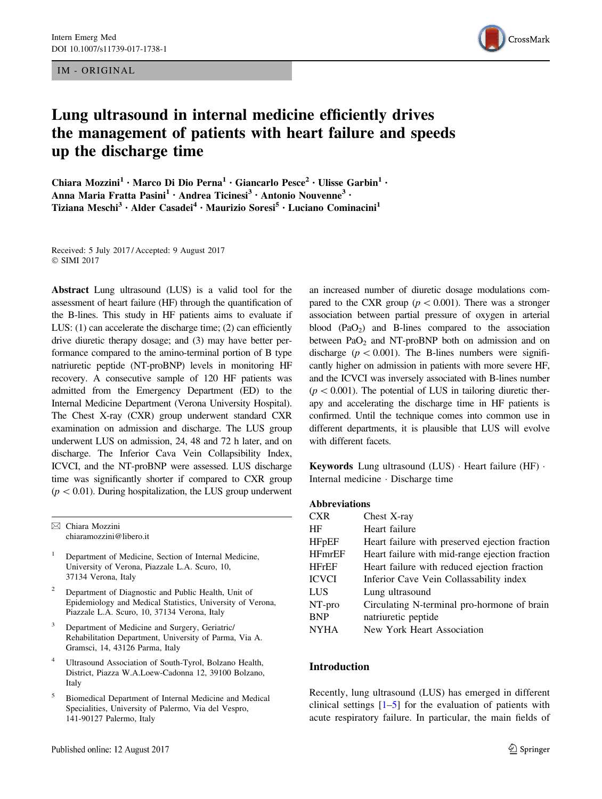IM - ORIGINAL



# Lung ultrasound in internal medicine efficiently drives the management of patients with heart failure and speeds up the discharge time

Chiara Mozzini<sup>1</sup> • Marco Di Dio Perna<sup>1</sup> • Giancarlo Pesce<sup>2</sup> • Ulisse Garbin<sup>1</sup> • Anna Maria Fratta Pasini<sup>1</sup> · Andrea Ticinesi<sup>3</sup> · Antonio Nouvenne<sup>3</sup> · Tiziana Meschi<sup>3</sup> · Alder Casadei<sup>4</sup> · Maurizio Soresi<sup>5</sup> · Luciano Cominacini<sup>1</sup>

Received: 5 July 2017 / Accepted: 9 August 2017  $\odot$  SIMI 2017

Abstract Lung ultrasound (LUS) is a valid tool for the assessment of heart failure (HF) through the quantification of the B-lines. This study in HF patients aims to evaluate if LUS: (1) can accelerate the discharge time; (2) can efficiently drive diuretic therapy dosage; and (3) may have better performance compared to the amino-terminal portion of B type natriuretic peptide (NT-proBNP) levels in monitoring HF recovery. A consecutive sample of 120 HF patients was admitted from the Emergency Department (ED) to the Internal Medicine Department (Verona University Hospital). The Chest X-ray (CXR) group underwent standard CXR examination on admission and discharge. The LUS group underwent LUS on admission, 24, 48 and 72 h later, and on discharge. The Inferior Cava Vein Collapsibility Index, ICVCI, and the NT-proBNP were assessed. LUS discharge time was significantly shorter if compared to CXR group  $(p<0.01)$ . During hospitalization, the LUS group underwent

- <sup>1</sup> Department of Medicine, Section of Internal Medicine, University of Verona, Piazzale L.A. Scuro, 10, 37134 Verona, Italy
- <sup>2</sup> Department of Diagnostic and Public Health, Unit of Epidemiology and Medical Statistics, University of Verona, Piazzale L.A. Scuro, 10, 37134 Verona, Italy
- Department of Medicine and Surgery, Geriatric/ Rehabilitation Department, University of Parma, Via A. Gramsci, 14, 43126 Parma, Italy
- Ultrasound Association of South-Tyrol, Bolzano Health, District, Piazza W.A.Loew-Cadonna 12, 39100 Bolzano, Italy
- <sup>5</sup> Biomedical Department of Internal Medicine and Medical Specialities, University of Palermo, Via del Vespro, 141-90127 Palermo, Italy

an increased number of diuretic dosage modulations compared to the CXR group ( $p < 0.001$ ). There was a stronger association between partial pressure of oxygen in arterial blood  $(PaO<sub>2</sub>)$  and B-lines compared to the association between  $PaO<sub>2</sub>$  and NT-proBNP both on admission and on discharge ( $p < 0.001$ ). The B-lines numbers were significantly higher on admission in patients with more severe HF, and the ICVCI was inversely associated with B-lines number  $(p<0.001)$ . The potential of LUS in tailoring diuretic therapy and accelerating the discharge time in HF patients is confirmed. Until the technique comes into common use in different departments, it is plausible that LUS will evolve with different facets.

**Keywords** Lung ultrasound  $(LUS) \cdot$  Heart failure  $(HF) \cdot$ Internal medicine - Discharge time

## Abbreviations

| CXR           | Chest X-ray                                    |
|---------------|------------------------------------------------|
| ΗF            | Heart failure                                  |
| <b>HFpEF</b>  | Heart failure with preserved ejection fraction |
| <b>HFmrEF</b> | Heart failure with mid-range ejection fraction |
| <b>HFrEF</b>  | Heart failure with reduced ejection fraction   |
| ICVCI         | Inferior Cave Vein Collassability index        |
| LUS           | Lung ultrasound                                |
| NT-pro        | Circulating N-terminal pro-hormone of brain    |
| <b>BNP</b>    | natriuretic peptide                            |
| NYHA          | New York Heart Association                     |

# Introduction

Recently, lung ultrasound (LUS) has emerged in different clinical settings  $[1-5]$  $[1-5]$  for the evaluation of patients with acute respiratory failure. In particular, the main fields of

 $\boxtimes$  Chiara Mozzini chiaramozzini@libero.it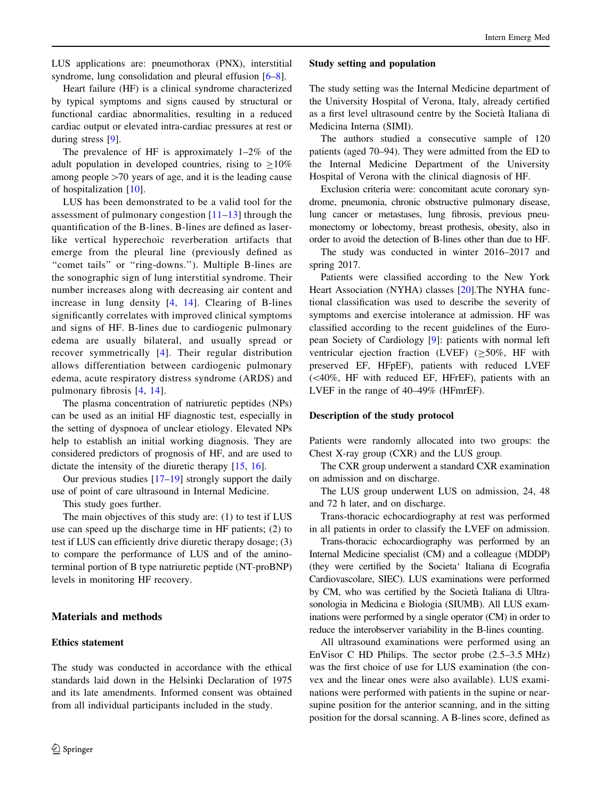LUS applications are: pneumothorax (PNX), interstitial syndrome, lung consolidation and pleural effusion  $[6-8]$ .

Heart failure (HF) is a clinical syndrome characterized by typical symptoms and signs caused by structural or functional cardiac abnormalities, resulting in a reduced cardiac output or elevated intra-cardiac pressures at rest or during stress [\[9](#page-6-0)].

The prevalence of HF is approximately 1–2% of the adult population in developed countries, rising to  $\geq 10\%$ among people  $>70$  years of age, and it is the leading cause of hospitalization [\[10](#page-6-0)].

LUS has been demonstrated to be a valid tool for the assessment of pulmonary congestion [[11–13\]](#page-6-0) through the quantification of the B-lines. B-lines are defined as laserlike vertical hyperechoic reverberation artifacts that emerge from the pleural line (previously defined as "comet tails" or "ring-downs."). Multiple B-lines are the sonographic sign of lung interstitial syndrome. Their number increases along with decreasing air content and increase in lung density [[4](#page-5-0), [14\]](#page-6-0). Clearing of B-lines significantly correlates with improved clinical symptoms and signs of HF. B-lines due to cardiogenic pulmonary edema are usually bilateral, and usually spread or recover symmetrically [\[4\]](#page-5-0). Their regular distribution allows differentiation between cardiogenic pulmonary edema, acute respiratory distress syndrome (ARDS) and pulmonary fibrosis [[4](#page-5-0), [14\]](#page-6-0).

The plasma concentration of natriuretic peptides (NPs) can be used as an initial HF diagnostic test, especially in the setting of dyspnoea of unclear etiology. Elevated NPs help to establish an initial working diagnosis. They are considered predictors of prognosis of HF, and are used to dictate the intensity of the diuretic therapy [\[15,](#page-6-0) [16](#page-6-0)].

Our previous studies [[17–19\]](#page-6-0) strongly support the daily use of point of care ultrasound in Internal Medicine.

This study goes further.

The main objectives of this study are: (1) to test if LUS use can speed up the discharge time in HF patients; (2) to test if LUS can efficiently drive diuretic therapy dosage; (3) to compare the performance of LUS and of the aminoterminal portion of B type natriuretic peptide (NT-proBNP) levels in monitoring HF recovery.

## Materials and methods

## Ethics statement

The study was conducted in accordance with the ethical standards laid down in the Helsinki Declaration of 1975 and its late amendments. Informed consent was obtained from all individual participants included in the study.

#### Study setting and population

The study setting was the Internal Medicine department of the University Hospital of Verona, Italy, already certified as a first level ultrasound centre by the Societa` Italiana di Medicina Interna (SIMI).

The authors studied a consecutive sample of 120 patients (aged 70–94). They were admitted from the ED to the Internal Medicine Department of the University Hospital of Verona with the clinical diagnosis of HF.

Exclusion criteria were: concomitant acute coronary syndrome, pneumonia, chronic obstructive pulmonary disease, lung cancer or metastases, lung fibrosis, previous pneumonectomy or lobectomy, breast prothesis, obesity, also in order to avoid the detection of B-lines other than due to HF.

The study was conducted in winter 2016–2017 and spring 2017.

Patients were classified according to the New York Heart Association (NYHA) classes [\[20](#page-6-0)].The NYHA functional classification was used to describe the severity of symptoms and exercise intolerance at admission. HF was classified according to the recent guidelines of the European Society of Cardiology [\[9](#page-6-0)]: patients with normal left ventricular ejection fraction (LVEF)  $(\geq 50\%$ , HF with preserved EF, HFpEF), patients with reduced LVEF  $( $40\%$ , HF with reduced EF, HFFEF), patients with an$ LVEF in the range of 40–49% (HFmrEF).

## Description of the study protocol

Patients were randomly allocated into two groups: the Chest X-ray group (CXR) and the LUS group.

The CXR group underwent a standard CXR examination on admission and on discharge.

The LUS group underwent LUS on admission, 24, 48 and 72 h later, and on discharge.

Trans-thoracic echocardiography at rest was performed in all patients in order to classify the LVEF on admission.

Trans-thoracic echocardiography was performed by an Internal Medicine specialist (CM) and a colleague (MDDP) (they were certified by the Societa' Italiana di Ecografia Cardiovascolare, SIEC). LUS examinations were performed by CM, who was certified by the Societa` Italiana di Ultrasonologia in Medicina e Biologia (SIUMB). All LUS examinations were performed by a single operator (CM) in order to reduce the interobserver variability in the B-lines counting.

All ultrasound examinations were performed using an EnVisor C HD Philips. The sector probe (2.5–3.5 MHz) was the first choice of use for LUS examination (the convex and the linear ones were also available). LUS examinations were performed with patients in the supine or nearsupine position for the anterior scanning, and in the sitting position for the dorsal scanning. A B-lines score, defined as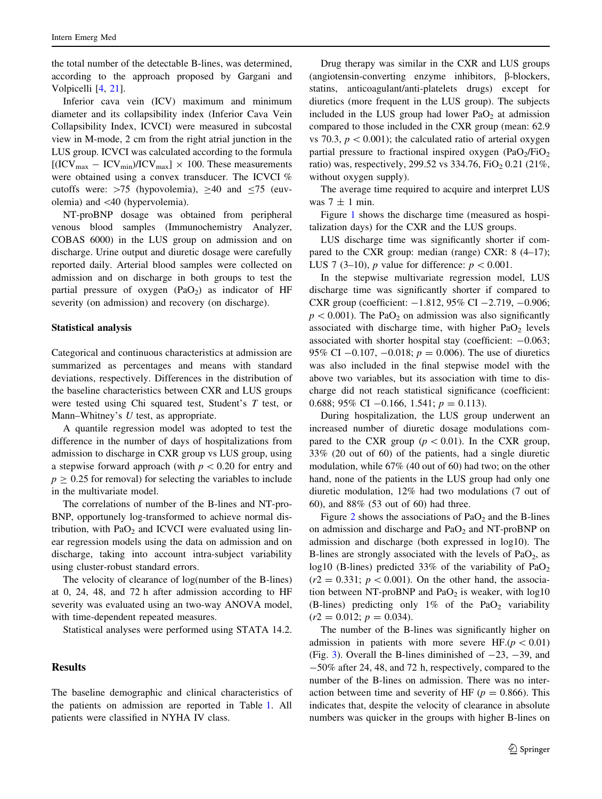the total number of the detectable B-lines, was determined, according to the approach proposed by Gargani and Volpicelli [[4,](#page-5-0) [21\]](#page-6-0).

Inferior cava vein (ICV) maximum and minimum diameter and its collapsibility index (Inferior Cava Vein Collapsibility Index, ICVCI) were measured in subcostal view in M-mode, 2 cm from the right atrial junction in the LUS group. ICVCI was calculated according to the formula  $[(ICV<sub>max</sub> - ICV<sub>min</sub>)/ICV<sub>max</sub>] \times 100$ . These measurements were obtained using a convex transducer. The ICVCI % cutoffs were:  $>75$  (hypovolemia),  $>40$  and  $<75$  (euvolemia) and \40 (hypervolemia).

NT-proBNP dosage was obtained from peripheral venous blood samples (Immunochemistry Analyzer, COBAS 6000) in the LUS group on admission and on discharge. Urine output and diuretic dosage were carefully reported daily. Arterial blood samples were collected on admission and on discharge in both groups to test the partial pressure of oxygen  $(PaO<sub>2</sub>)$  as indicator of HF severity (on admission) and recovery (on discharge).

#### Statistical analysis

Categorical and continuous characteristics at admission are summarized as percentages and means with standard deviations, respectively. Differences in the distribution of the baseline characteristics between CXR and LUS groups were tested using Chi squared test, Student's T test, or Mann–Whitney's  $U$  test, as appropriate.

A quantile regression model was adopted to test the difference in the number of days of hospitalizations from admission to discharge in CXR group vs LUS group, using a stepwise forward approach (with  $p < 0.20$  for entry and  $p > 0.25$  for removal) for selecting the variables to include in the multivariate model.

The correlations of number of the B-lines and NT-pro-BNP, opportunely log-transformed to achieve normal distribution, with  $PaO<sub>2</sub>$  and ICVCI were evaluated using linear regression models using the data on admission and on discharge, taking into account intra-subject variability using cluster-robust standard errors.

The velocity of clearance of log(number of the B-lines) at 0, 24, 48, and 72 h after admission according to HF severity was evaluated using an two-way ANOVA model, with time-dependent repeated measures.

Statistical analyses were performed using STATA 14.2.

# Results

The baseline demographic and clinical characteristics of the patients on admission are reported in Table [1](#page-3-0). All patients were classified in NYHA IV class.

Drug therapy was similar in the CXR and LUS groups  $(angiotensin-converting$  enzyme inhibitors,  $\beta$ -blockers, statins, anticoagulant/anti-platelets drugs) except for diuretics (more frequent in the LUS group). The subjects included in the LUS group had lower  $PaO<sub>2</sub>$  at admission compared to those included in the CXR group (mean: 62.9 vs 70.3,  $p < 0.001$ ); the calculated ratio of arterial oxygen partial pressure to fractional inspired oxygen  $(PaO<sub>2</sub>/FiO<sub>2</sub>)$ ratio) was, respectively, 299.52 vs 334.76,  $FiO<sub>2</sub> 0.21$  (21%, without oxygen supply).

The average time required to acquire and interpret LUS was  $7 \pm 1$  min.

Figure [1](#page-3-0) shows the discharge time (measured as hospitalization days) for the CXR and the LUS groups.

LUS discharge time was significantly shorter if compared to the CXR group: median (range) CXR: 8 (4–17); LUS 7 (3–10), p value for difference:  $p < 0.001$ .

In the stepwise multivariate regression model, LUS discharge time was significantly shorter if compared to CXR group (coefficient:  $-1.812$ , 95% CI  $-2.719$ ,  $-0.906$ ;  $p<0.001$ ). The PaO<sub>2</sub> on admission was also significantly associated with discharge time, with higher  $PaO<sub>2</sub>$  levels associated with shorter hospital stay (coefficient:  $-0.063$ ; 95% CI  $-0.107$ ,  $-0.018$ ;  $p = 0.006$ ). The use of diuretics was also included in the final stepwise model with the above two variables, but its association with time to discharge did not reach statistical significance (coefficient: 0.688; 95% CI -0.166, 1.541;  $p = 0.113$ ).

During hospitalization, the LUS group underwent an increased number of diuretic dosage modulations compared to the CXR group ( $p < 0.01$ ). In the CXR group, 33% (20 out of 60) of the patients, had a single diuretic modulation, while 67% (40 out of 60) had two; on the other hand, none of the patients in the LUS group had only one diuretic modulation, 12% had two modulations (7 out of 60), and 88% (53 out of 60) had three.

Figure [2](#page-4-0) shows the associations of  $PaO<sub>2</sub>$  and the B-lines on admission and discharge and  $PaO<sub>2</sub>$  and NT-proBNP on admission and discharge (both expressed in log10). The B-lines are strongly associated with the levels of  $PaO<sub>2</sub>$ , as log10 (B-lines) predicted 33% of the variability of  $PaO<sub>2</sub>$  $(r2 = 0.331; p < 0.001)$ . On the other hand, the association between NT-proBNP and  $PaO<sub>2</sub>$  is weaker, with  $log10$ (B-lines) predicting only  $1\%$  of the PaO<sub>2</sub> variability  $(r2 = 0.012; p = 0.034).$ 

The number of the B-lines was significantly higher on admission in patients with more severe HF. $(p < 0.01)$ (Fig. [3\)](#page-4-0). Overall the B-lines diminished of  $-23$ ,  $-39$ , and -50% after 24, 48, and 72 h, respectively, compared to the number of the B-lines on admission. There was no interaction between time and severity of HF ( $p = 0.866$ ). This indicates that, despite the velocity of clearance in absolute numbers was quicker in the groups with higher B-lines on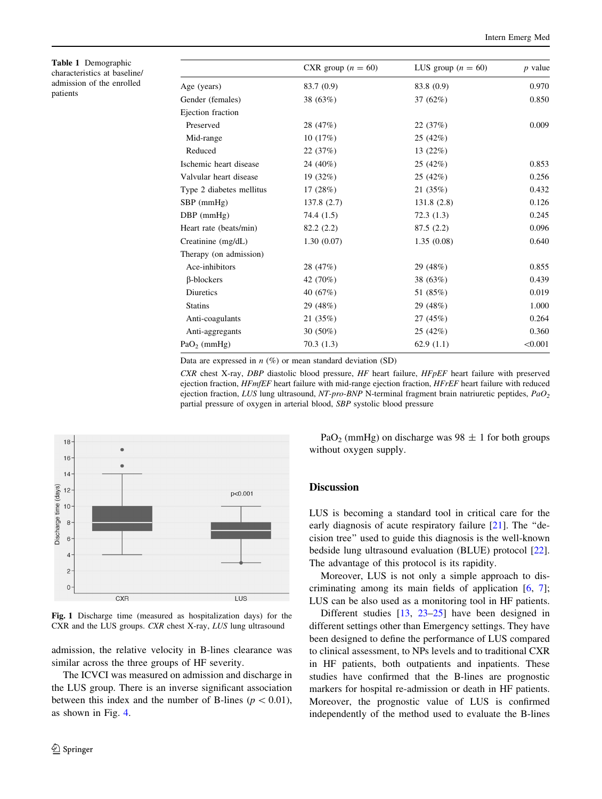<span id="page-3-0"></span>Table 1 Demographic characteristics at baseline/ admission of the enrolled patients

|                          | CXR group $(n = 60)$ | LUS group $(n = 60)$ | $p$ value |
|--------------------------|----------------------|----------------------|-----------|
| Age (years)              | 83.7 (0.9)           | 83.8 (0.9)           | 0.970     |
| Gender (females)         | 38 (63%)             | 37(62%)              | 0.850     |
| Ejection fraction        |                      |                      |           |
| Preserved                | 28 (47%)             | 22(37%)              | 0.009     |
| Mid-range                | 10(17%)              | 25 (42%)             |           |
| Reduced                  | 22(37%)              | 13(22%)              |           |
| Ischemic heart disease   | 24 (40%)             | 25 (42%)             | 0.853     |
| Valvular heart disease   | 19 (32%)             | 25(42%)              | 0.256     |
| Type 2 diabetes mellitus | 17(28%)              | 21 (35%)             | 0.432     |
| $SBP$ (mmHg)             | 137.8(2.7)           | 131.8(2.8)           | 0.126     |
| $DBP$ (mmHg)             | 74.4 (1.5)           | 72.3(1.3)            | 0.245     |
| Heart rate (beats/min)   | 82.2(2.2)            | 87.5(2.2)            | 0.096     |
| Creatinine (mg/dL)       | 1.30(0.07)           | 1.35(0.08)           | 0.640     |
| Therapy (on admission)   |                      |                      |           |
| Ace-inhibitors           | 28 (47%)             | 29 (48%)             | 0.855     |
| $\beta$ -blockers        | 42 (70%)             | 38 (63%)             | 0.439     |
| Diuretics                | 40 $(67%)$           | 51 (85%)             | 0.019     |
| <b>Statins</b>           | 29 (48%)             | 29 (48%)             | 1.000     |
| Anti-coagulants          | 21(35%)              | 27 (45%)             | 0.264     |
| Anti-aggregants          | $30(50\%)$           | 25(42%)              | 0.360     |
| $PaO2$ (mmHg)            | 70.3(1.3)            | 62.9(1.1)            | < 0.001   |

Data are expressed in  $n$  (%) or mean standard deviation (SD)

CXR chest X-ray, DBP diastolic blood pressure, HF heart failure, HFpEF heart failure with preserved ejection fraction,  $HFMEF$  heart failure with mid-range ejection fraction,  $HFFEF$  heart failure with reduced ejection fraction, LUS lung ultrasound, NT-pro-BNP N-terminal fragment brain natriuretic peptides,  $PaO<sub>2</sub>$ partial pressure of oxygen in arterial blood, SBP systolic blood pressure



Fig. 1 Discharge time (measured as hospitalization days) for the CXR and the LUS groups. CXR chest X-ray, LUS lung ultrasound

admission, the relative velocity in B-lines clearance was similar across the three groups of HF severity.

The ICVCI was measured on admission and discharge in the LUS group. There is an inverse significant association between this index and the number of B-lines ( $p\lt0.01$ ), as shown in Fig. [4](#page-4-0).

PaO<sub>2</sub> (mmHg) on discharge was  $98 \pm 1$  for both groups without oxygen supply.

## **Discussion**

LUS is becoming a standard tool in critical care for the early diagnosis of acute respiratory failure [[21](#page-6-0)]. The "decision tree'' used to guide this diagnosis is the well-known bedside lung ultrasound evaluation (BLUE) protocol [\[22](#page-6-0)]. The advantage of this protocol is its rapidity.

Moreover, LUS is not only a simple approach to discriminating among its main fields of application  $[6, 7]$  $[6, 7]$  $[6, 7]$  $[6, 7]$  $[6, 7]$ ; LUS can be also used as a monitoring tool in HF patients.

Different studies [[13,](#page-6-0) [23–25\]](#page-6-0) have been designed in different settings other than Emergency settings. They have been designed to define the performance of LUS compared to clinical assessment, to NPs levels and to traditional CXR in HF patients, both outpatients and inpatients. These studies have confirmed that the B-lines are prognostic markers for hospital re-admission or death in HF patients. Moreover, the prognostic value of LUS is confirmed independently of the method used to evaluate the B-lines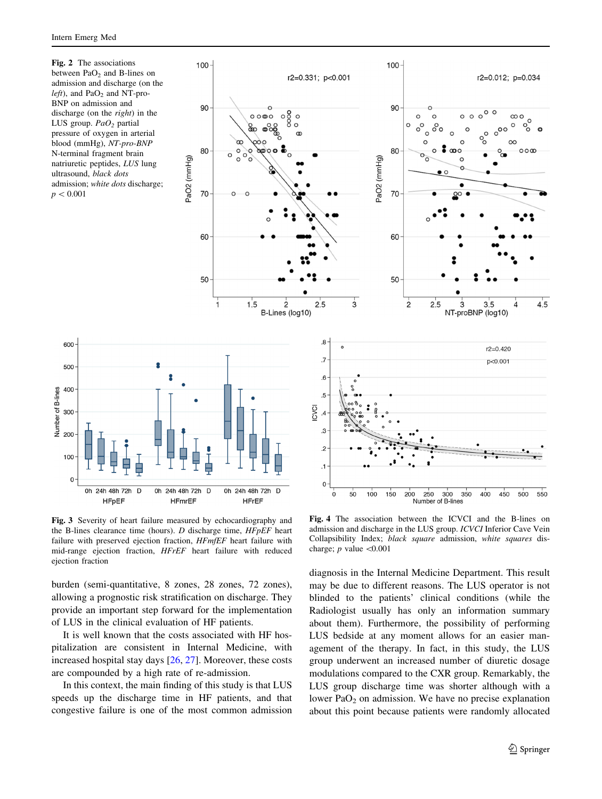600

500

400

 $300$ 

200

100

 $\pmb{0}$ 

0h 24h 48h 72h D

**HFpEF** 

Number of B-lines

<span id="page-4-0"></span>Fig. 2 The associations between  $PaO<sub>2</sub>$  and B-lines on admission and discharge (on the  $left$ ), and PaO<sub>2</sub> and NT-pro-BNP on admission and discharge (on the *right*) in the LUS group.  $PaO<sub>2</sub>$  partial pressure of oxygen in arterial blood (mmHg), NT-pro-BNP N-terminal fragment brain natriuretic peptides, LUS lung ultrasound, black dots admission; white dots discharge;  $p < 0.001$ 



Fig. 3 Severity of heart failure measured by echocardiography and the B-lines clearance time (hours). D discharge time, HFpEF heart failure with preserved ejection fraction,  $HFME$  heart failure with mid-range ejection fraction, HFrEF heart failure with reduced ejection fraction

burden (semi-quantitative, 8 zones, 28 zones, 72 zones), allowing a prognostic risk stratification on discharge. They provide an important step forward for the implementation of LUS in the clinical evaluation of HF patients.

It is well known that the costs associated with HF hospitalization are consistent in Internal Medicine, with increased hospital stay days [\[26](#page-6-0), [27](#page-6-0)]. Moreover, these costs are compounded by a high rate of re-admission.

In this context, the main finding of this study is that LUS speeds up the discharge time in HF patients, and that congestive failure is one of the most common admission

Fig. 4 The association between the ICVCI and the B-lines on admission and discharge in the LUS group. ICVCI Inferior Cave Vein Collapsibility Index; black square admission, white squares discharge;  $p$  value  $\leq 0.001$ 

diagnosis in the Internal Medicine Department. This result may be due to different reasons. The LUS operator is not blinded to the patients' clinical conditions (while the Radiologist usually has only an information summary about them). Furthermore, the possibility of performing LUS bedside at any moment allows for an easier management of the therapy. In fact, in this study, the LUS group underwent an increased number of diuretic dosage modulations compared to the CXR group. Remarkably, the LUS group discharge time was shorter although with a lower  $PaO<sub>2</sub>$  on admission. We have no precise explanation about this point because patients were randomly allocated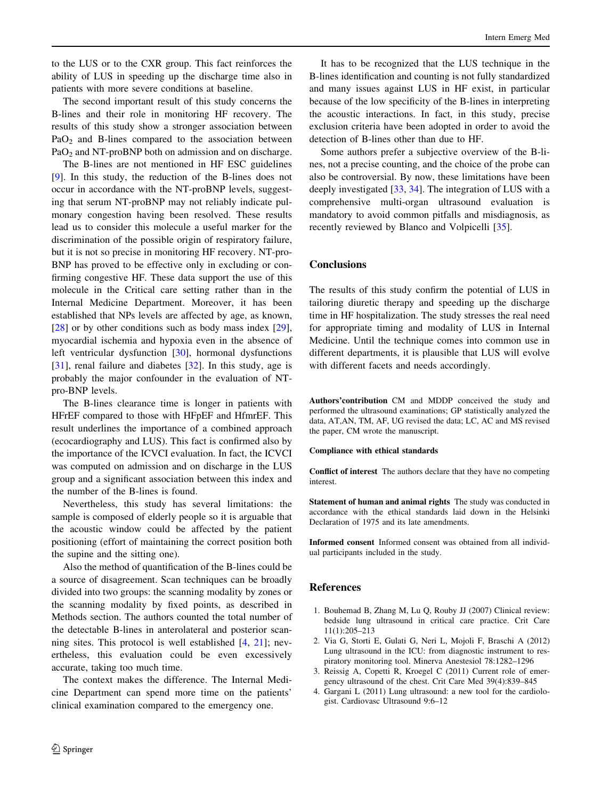<span id="page-5-0"></span>to the LUS or to the CXR group. This fact reinforces the ability of LUS in speeding up the discharge time also in patients with more severe conditions at baseline.

The second important result of this study concerns the B-lines and their role in monitoring HF recovery. The results of this study show a stronger association between  $PaO<sub>2</sub>$  and B-lines compared to the association between PaO<sub>2</sub> and NT-proBNP both on admission and on discharge.

The B-lines are not mentioned in HF ESC guidelines [\[9](#page-6-0)]. In this study, the reduction of the B-lines does not occur in accordance with the NT-proBNP levels, suggesting that serum NT-proBNP may not reliably indicate pulmonary congestion having been resolved. These results lead us to consider this molecule a useful marker for the discrimination of the possible origin of respiratory failure, but it is not so precise in monitoring HF recovery. NT-pro-BNP has proved to be effective only in excluding or confirming congestive HF. These data support the use of this molecule in the Critical care setting rather than in the Internal Medicine Department. Moreover, it has been established that NPs levels are affected by age, as known, [\[28](#page-6-0)] or by other conditions such as body mass index [\[29](#page-6-0)], myocardial ischemia and hypoxia even in the absence of left ventricular dysfunction [[30\]](#page-6-0), hormonal dysfunctions [\[31](#page-6-0)], renal failure and diabetes [\[32](#page-6-0)]. In this study, age is probably the major confounder in the evaluation of NTpro-BNP levels.

The B-lines clearance time is longer in patients with HFrEF compared to those with HFpEF and HfmrEF. This result underlines the importance of a combined approach (ecocardiography and LUS). This fact is confirmed also by the importance of the ICVCI evaluation. In fact, the ICVCI was computed on admission and on discharge in the LUS group and a significant association between this index and the number of the B-lines is found.

Nevertheless, this study has several limitations: the sample is composed of elderly people so it is arguable that the acoustic window could be affected by the patient positioning (effort of maintaining the correct position both the supine and the sitting one).

Also the method of quantification of the B-lines could be a source of disagreement. Scan techniques can be broadly divided into two groups: the scanning modality by zones or the scanning modality by fixed points, as described in Methods section. The authors counted the total number of the detectable B-lines in anterolateral and posterior scanning sites. This protocol is well established [4, [21](#page-6-0)]; nevertheless, this evaluation could be even excessively accurate, taking too much time.

The context makes the difference. The Internal Medicine Department can spend more time on the patients' clinical examination compared to the emergency one.

It has to be recognized that the LUS technique in the B-lines identification and counting is not fully standardized and many issues against LUS in HF exist, in particular because of the low specificity of the B-lines in interpreting the acoustic interactions. In fact, in this study, precise exclusion criteria have been adopted in order to avoid the detection of B-lines other than due to HF.

Some authors prefer a subjective overview of the B-lines, not a precise counting, and the choice of the probe can also be controversial. By now, these limitations have been deeply investigated [[33,](#page-6-0) [34\]](#page-6-0). The integration of LUS with a comprehensive multi-organ ultrasound evaluation is mandatory to avoid common pitfalls and misdiagnosis, as recently reviewed by Blanco and Volpicelli [\[35](#page-6-0)].

# **Conclusions**

The results of this study confirm the potential of LUS in tailoring diuretic therapy and speeding up the discharge time in HF hospitalization. The study stresses the real need for appropriate timing and modality of LUS in Internal Medicine. Until the technique comes into common use in different departments, it is plausible that LUS will evolve with different facets and needs accordingly.

Authors'contribution CM and MDDP conceived the study and performed the ultrasound examinations; GP statistically analyzed the data, AT,AN, TM, AF, UG revised the data; LC, AC and MS revised the paper, CM wrote the manuscript.

#### Compliance with ethical standards

Conflict of interest The authors declare that they have no competing interest.

Statement of human and animal rights The study was conducted in accordance with the ethical standards laid down in the Helsinki Declaration of 1975 and its late amendments.

Informed consent Informed consent was obtained from all individual participants included in the study.

## References

- 1. Bouhemad B, Zhang M, Lu Q, Rouby JJ (2007) Clinical review: bedside lung ultrasound in critical care practice. Crit Care 11(1):205–213
- 2. Via G, Storti E, Gulati G, Neri L, Mojoli F, Braschi A (2012) Lung ultrasound in the ICU: from diagnostic instrument to respiratory monitoring tool. Minerva Anestesiol 78:1282–1296
- 3. Reissig A, Copetti R, Kroegel C (2011) Current role of emergency ultrasound of the chest. Crit Care Med 39(4):839–845
- 4. Gargani L (2011) Lung ultrasound: a new tool for the cardiologist. Cardiovasc Ultrasound 9:6–12